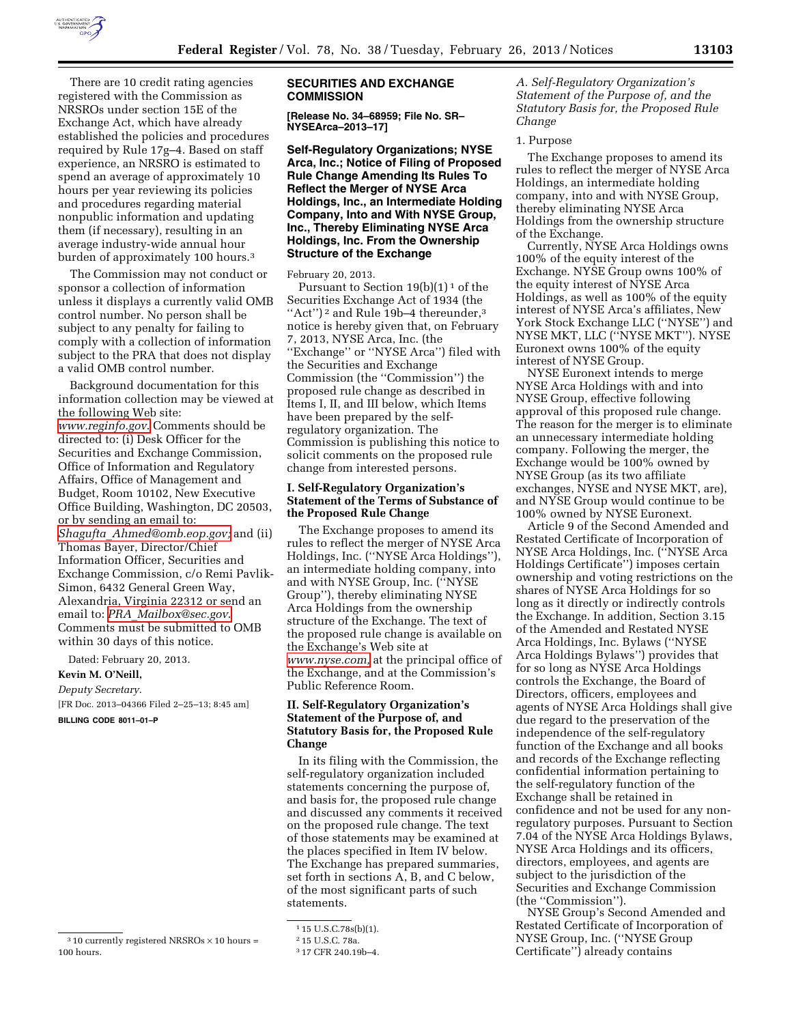

There are 10 credit rating agencies registered with the Commission as NRSROs under section 15E of the Exchange Act, which have already established the policies and procedures required by Rule 17g–4. Based on staff experience, an NRSRO is estimated to spend an average of approximately 10 hours per year reviewing its policies and procedures regarding material nonpublic information and updating them (if necessary), resulting in an average industry-wide annual hour burden of approximately 100 hours.3

The Commission may not conduct or sponsor a collection of information unless it displays a currently valid OMB control number. No person shall be subject to any penalty for failing to comply with a collection of information subject to the PRA that does not display a valid OMB control number.

Background documentation for this information collection may be viewed at the following Web site: *[www.reginfo.gov](http://www.reginfo.gov)*. Comments should be directed to: (i) Desk Officer for the Securities and Exchange Commission, Office of Information and Regulatory Affairs, Office of Management and Budget, Room 10102, New Executive Office Building, Washington, DC 20503, or by sending an email to: *Shagufta*\_*[Ahmed@omb.eop.gov;](mailto:Shagufta_Ahmed@omb.eop.gov)* and (ii) Thomas Bayer, Director/Chief Information Officer, Securities and Exchange Commission, c/o Remi Pavlik-Simon, 6432 General Green Way, Alexandria, Virginia 22312 or send an email to: *PRA*\_*[Mailbox@sec.gov](mailto:PRA_Mailbox@sec.gov)*. Comments must be submitted to OMB within 30 days of this notice.

Dated: February 20, 2013. **Kevin M. O'Neill,**  *Deputy Secretary.*  [FR Doc. 2013–04366 Filed 2–25–13; 8:45 am] **BILLING CODE 8011–01–P** 

## **SECURITIES AND EXCHANGE COMMISSION**

**[Release No. 34–68959; File No. SR– NYSEArca–2013–17]** 

**Self-Regulatory Organizations; NYSE Arca, Inc.; Notice of Filing of Proposed Rule Change Amending Its Rules To Reflect the Merger of NYSE Arca Holdings, Inc., an Intermediate Holding Company, Into and With NYSE Group, Inc., Thereby Eliminating NYSE Arca Holdings, Inc. From the Ownership Structure of the Exchange** 

February 20, 2013.

Pursuant to Section  $19(b)(1)^1$  of the Securities Exchange Act of 1934 (the "Act")<sup>2</sup> and Rule 19b-4 thereunder,<sup>3</sup> notice is hereby given that, on February 7, 2013, NYSE Arca, Inc. (the ''Exchange'' or ''NYSE Arca'') filed with the Securities and Exchange Commission (the ''Commission'') the proposed rule change as described in Items I, II, and III below, which Items have been prepared by the selfregulatory organization. The Commission is publishing this notice to solicit comments on the proposed rule change from interested persons.

## **I. Self-Regulatory Organization's Statement of the Terms of Substance of the Proposed Rule Change**

The Exchange proposes to amend its rules to reflect the merger of NYSE Arca Holdings, Inc. (''NYSE Arca Holdings''), an intermediate holding company, into and with NYSE Group, Inc. (''NYSE Group''), thereby eliminating NYSE Arca Holdings from the ownership structure of the Exchange. The text of the proposed rule change is available on the Exchange's Web site at *[www.nyse.com,](http://www.nyse.com)* at the principal office of the Exchange, and at the Commission's Public Reference Room.

## **II. Self-Regulatory Organization's Statement of the Purpose of, and Statutory Basis for, the Proposed Rule Change**

In its filing with the Commission, the self-regulatory organization included statements concerning the purpose of, and basis for, the proposed rule change and discussed any comments it received on the proposed rule change. The text of those statements may be examined at the places specified in Item IV below. The Exchange has prepared summaries, set forth in sections A, B, and C below, of the most significant parts of such statements.

*A. Self-Regulatory Organization's Statement of the Purpose of, and the Statutory Basis for, the Proposed Rule Change* 

## 1. Purpose

The Exchange proposes to amend its rules to reflect the merger of NYSE Arca Holdings, an intermediate holding company, into and with NYSE Group, thereby eliminating NYSE Arca Holdings from the ownership structure of the Exchange.

Currently, NYSE Arca Holdings owns 100% of the equity interest of the Exchange. NYSE Group owns 100% of the equity interest of NYSE Arca Holdings, as well as 100% of the equity interest of NYSE Arca's affiliates, New York Stock Exchange LLC (''NYSE'') and NYSE MKT, LLC (''NYSE MKT''). NYSE Euronext owns 100% of the equity interest of NYSE Group.

NYSE Euronext intends to merge NYSE Arca Holdings with and into NYSE Group, effective following approval of this proposed rule change. The reason for the merger is to eliminate an unnecessary intermediate holding company. Following the merger, the Exchange would be 100% owned by NYSE Group (as its two affiliate exchanges, NYSE and NYSE MKT, are), and NYSE Group would continue to be 100% owned by NYSE Euronext.

Article 9 of the Second Amended and Restated Certificate of Incorporation of NYSE Arca Holdings, Inc. (''NYSE Arca Holdings Certificate'') imposes certain ownership and voting restrictions on the shares of NYSE Arca Holdings for so long as it directly or indirectly controls the Exchange. In addition, Section 3.15 of the Amended and Restated NYSE Arca Holdings, Inc. Bylaws (''NYSE Arca Holdings Bylaws'') provides that for so long as NYSE Arca Holdings controls the Exchange, the Board of Directors, officers, employees and agents of NYSE Arca Holdings shall give due regard to the preservation of the independence of the self-regulatory function of the Exchange and all books and records of the Exchange reflecting confidential information pertaining to the self-regulatory function of the Exchange shall be retained in confidence and not be used for any nonregulatory purposes. Pursuant to Section 7.04 of the NYSE Arca Holdings Bylaws, NYSE Arca Holdings and its officers, directors, employees, and agents are subject to the jurisdiction of the Securities and Exchange Commission (the ''Commission'').

NYSE Group's Second Amended and Restated Certificate of Incorporation of NYSE Group, Inc. (''NYSE Group Certificate'') already contains

 $310$  currently registered NRSROs  $\times$  10 hours = 100 hours.

<sup>1</sup> 15 U.S.C.78s(b)(1).

<sup>2</sup> 15 U.S.C. 78a.

<sup>3</sup> 17 CFR 240.19b–4.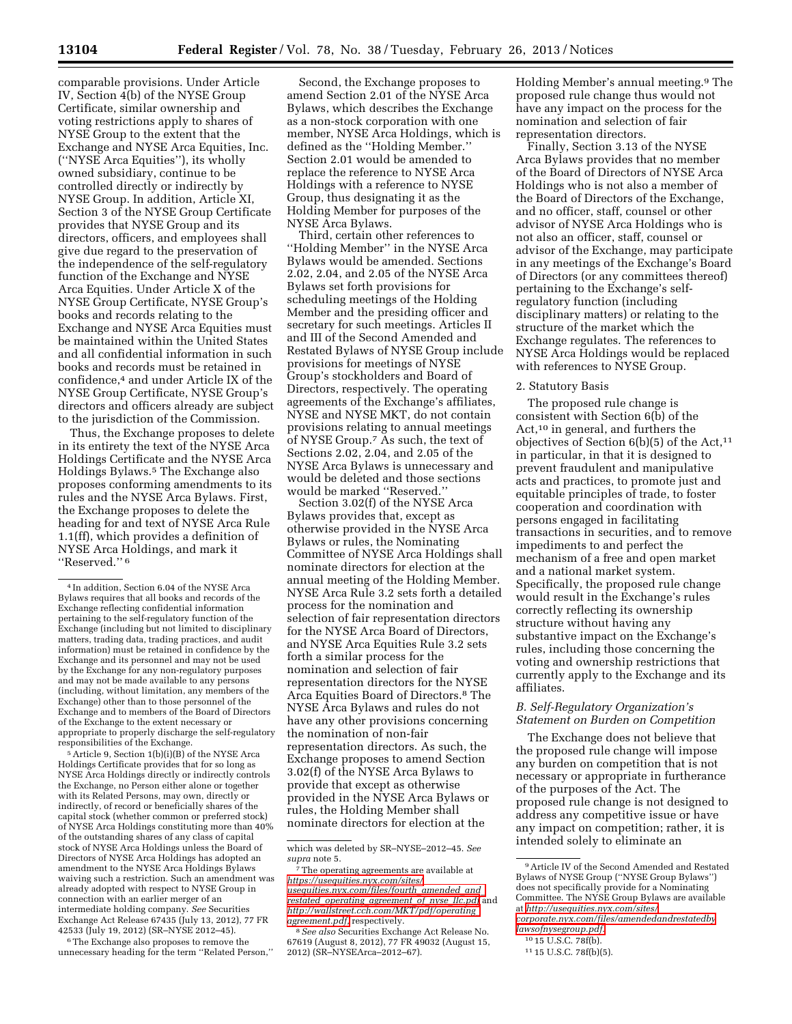comparable provisions. Under Article IV, Section 4(b) of the NYSE Group Certificate, similar ownership and voting restrictions apply to shares of NYSE Group to the extent that the Exchange and NYSE Arca Equities, Inc. (''NYSE Arca Equities''), its wholly owned subsidiary, continue to be controlled directly or indirectly by NYSE Group. In addition, Article XI, Section 3 of the NYSE Group Certificate provides that NYSE Group and its directors, officers, and employees shall give due regard to the preservation of the independence of the self-regulatory function of the Exchange and NYSE Arca Equities. Under Article X of the NYSE Group Certificate, NYSE Group's books and records relating to the Exchange and NYSE Arca Equities must be maintained within the United States and all confidential information in such books and records must be retained in confidence,4 and under Article IX of the NYSE Group Certificate, NYSE Group's directors and officers already are subject to the jurisdiction of the Commission.

Thus, the Exchange proposes to delete in its entirety the text of the NYSE Arca Holdings Certificate and the NYSE Arca Holdings Bylaws.5 The Exchange also proposes conforming amendments to its rules and the NYSE Arca Bylaws. First, the Exchange proposes to delete the heading for and text of NYSE Arca Rule 1.1(ff), which provides a definition of NYSE Arca Holdings, and mark it ''Reserved.'' 6

5Article 9, Section 1(b)(i)(B) of the NYSE Arca Holdings Certificate provides that for so long as NYSE Arca Holdings directly or indirectly controls the Exchange, no Person either alone or together with its Related Persons, may own, directly or indirectly, of record or beneficially shares of the capital stock (whether common or preferred stock) of NYSE Arca Holdings constituting more than 40% of the outstanding shares of any class of capital stock of NYSE Arca Holdings unless the Board of Directors of NYSE Arca Holdings has adopted an amendment to the NYSE Arca Holdings Bylaws waiving such a restriction. Such an amendment was already adopted with respect to NYSE Group in connection with an earlier merger of an intermediate holding company. *See* Securities Exchange Act Release 67435 (July 13, 2012), 77 FR 42533 (July 19, 2012) (SR–NYSE 2012–45).

6The Exchange also proposes to remove the unnecessary heading for the term ''Related Person,''

Second, the Exchange proposes to amend Section 2.01 of the NYSE Arca Bylaws, which describes the Exchange as a non-stock corporation with one member, NYSE Arca Holdings, which is defined as the ''Holding Member.'' Section 2.01 would be amended to replace the reference to NYSE Arca Holdings with a reference to NYSE Group, thus designating it as the Holding Member for purposes of the NYSE Arca Bylaws.

Third, certain other references to ''Holding Member'' in the NYSE Arca Bylaws would be amended. Sections 2.02, 2.04, and 2.05 of the NYSE Arca Bylaws set forth provisions for scheduling meetings of the Holding Member and the presiding officer and secretary for such meetings. Articles II and III of the Second Amended and Restated Bylaws of NYSE Group include provisions for meetings of NYSE Group's stockholders and Board of Directors, respectively. The operating agreements of the Exchange's affiliates, NYSE and NYSE MKT, do not contain provisions relating to annual meetings of NYSE Group.7 As such, the text of Sections 2.02, 2.04, and 2.05 of the NYSE Arca Bylaws is unnecessary and would be deleted and those sections would be marked ''Reserved.''

Section 3.02(f) of the NYSE Arca Bylaws provides that, except as otherwise provided in the NYSE Arca Bylaws or rules, the Nominating Committee of NYSE Arca Holdings shall nominate directors for election at the annual meeting of the Holding Member. NYSE Arca Rule 3.2 sets forth a detailed process for the nomination and selection of fair representation directors for the NYSE Arca Board of Directors, and NYSE Arca Equities Rule 3.2 sets forth a similar process for the nomination and selection of fair representation directors for the NYSE Arca Equities Board of Directors.8 The NYSE Arca Bylaws and rules do not have any other provisions concerning the nomination of non-fair representation directors. As such, the Exchange proposes to amend Section 3.02(f) of the NYSE Arca Bylaws to provide that except as otherwise provided in the NYSE Arca Bylaws or rules, the Holding Member shall nominate directors for election at the

Holding Member's annual meeting.9 The proposed rule change thus would not have any impact on the process for the nomination and selection of fair representation directors.

Finally, Section 3.13 of the NYSE Arca Bylaws provides that no member of the Board of Directors of NYSE Arca Holdings who is not also a member of the Board of Directors of the Exchange, and no officer, staff, counsel or other advisor of NYSE Arca Holdings who is not also an officer, staff, counsel or advisor of the Exchange, may participate in any meetings of the Exchange's Board of Directors (or any committees thereof) pertaining to the Exchange's selfregulatory function (including disciplinary matters) or relating to the structure of the market which the Exchange regulates. The references to NYSE Arca Holdings would be replaced with references to NYSE Group.

#### 2. Statutory Basis

The proposed rule change is consistent with Section 6(b) of the Act,10 in general, and furthers the objectives of Section  $6(b)(5)$  of the Act,<sup>11</sup> in particular, in that it is designed to prevent fraudulent and manipulative acts and practices, to promote just and equitable principles of trade, to foster cooperation and coordination with persons engaged in facilitating transactions in securities, and to remove impediments to and perfect the mechanism of a free and open market and a national market system. Specifically, the proposed rule change would result in the Exchange's rules correctly reflecting its ownership structure without having any substantive impact on the Exchange's rules, including those concerning the voting and ownership restrictions that currently apply to the Exchange and its affiliates.

#### *B. Self-Regulatory Organization's Statement on Burden on Competition*

The Exchange does not believe that the proposed rule change will impose any burden on competition that is not necessary or appropriate in furtherance of the purposes of the Act. The proposed rule change is not designed to address any competitive issue or have any impact on competition; rather, it is intended solely to eliminate an

<sup>4</sup> In addition, Section 6.04 of the NYSE Arca Bylaws requires that all books and records of the Exchange reflecting confidential information pertaining to the self-regulatory function of the Exchange (including but not limited to disciplinary matters, trading data, trading practices, and audit information) must be retained in confidence by the Exchange and its personnel and may not be used by the Exchange for any non-regulatory purposes and may not be made available to any persons (including, without limitation, any members of the Exchange) other than to those personnel of the Exchange and to members of the Board of Directors of the Exchange to the extent necessary or appropriate to properly discharge the self-regulatory responsibilities of the Exchange.

which was deleted by SR–NYSE–2012–45. *See* 

<sup>&</sup>lt;sup>7</sup>The operating agreements are available at *[https://usequities.nyx.com/sites/](https://usequities.nyx.com/sites/usequities.nyx.com/files/fourth_amended_and_restated_operating_agreement_of_nyse_llc.pdf) [usequities.nyx.com/files/fourth](https://usequities.nyx.com/sites/usequities.nyx.com/files/fourth_amended_and_restated_operating_agreement_of_nyse_llc.pdf)*\_*amended*\_*and*\_ *restated*\_*operating*\_*[agreement](https://usequities.nyx.com/sites/usequities.nyx.com/files/fourth_amended_and_restated_operating_agreement_of_nyse_llc.pdf)*\_*of*\_*nyse*\_*llc.pdf* and *[http://wallstreet.cch.com/MKT/pdf/operating](http://wallstreet.cch.com/MKT/pdf/operating_agreement.pdf)*\_

<sup>&</sup>lt;sup>8</sup> See also Securities Exchange Act Release No. 67619 (August 8, 2012), 77 FR 49032 (August 15, 2012) (SR–NYSEArca–2012–67).

<sup>9</sup>Article IV of the Second Amended and Restated Bylaws of NYSE Group (''NYSE Group Bylaws'') does not specifically provide for a Nominating Committee. The NYSE Group Bylaws are available at *[http://usequities.nyx.com/sites/](http://usequities.nyx.com/sites/corporate.nyx.com/files/amendedandrestatedbylawsofnysegroup.pdf) [corporate.nyx.com/files/amendedandrestatedby](http://usequities.nyx.com/sites/corporate.nyx.com/files/amendedandrestatedbylawsofnysegroup.pdf)*

*[lawsofnysegroup.pdf.](http://usequities.nyx.com/sites/corporate.nyx.com/files/amendedandrestatedbylawsofnysegroup.pdf)*  10 15 U.S.C. 78f(b).

<sup>11</sup> 15 U.S.C. 78f(b)(5).